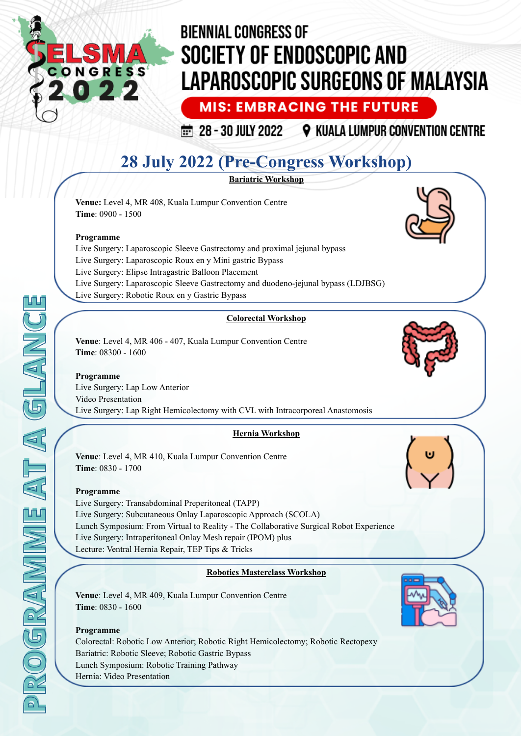

**MIS: EMBRACING THE FUTURE** 

 $\frac{1}{100}$  28 - 30 JULY 2022 **9 KUALA LUMPUR CONVENTION CENTRE** 

## **28 July 2022 (Pre-Congress Workshop)**

**Bariatric Workshop**

**Venue:** Level 4, MR 408, Kuala Lumpur Convention Centre **Time**: 0900 - 1500

#### **Programme**

Live Surgery: Laparoscopic Sleeve Gastrectomy and proximal jejunal bypass Live Surgery: Laparoscopic Roux en y Mini gastric Bypass Live Surgery: Elipse Intragastric Balloon Placement Live Surgery: Laparoscopic Sleeve Gastrectomy and duodeno-jejunal bypass (LDJBSG) Live Surgery: Robotic Roux en y Gastric Bypass

#### **Colorectal Workshop**

**Venue**: Level 4, MR 406 - 407, Kuala Lumpur Convention Centre **Time**: 08300 - 1600

#### **Programme** Live Surgery: Lap Low Anterior Video Presentation Live Surgery: Lap Right Hemicolectomy with CVL with Intracorporeal Anastomosis

#### **Hernia Workshop**

**Venue**: Level 4, MR 410, Kuala Lumpur Convention Centre **Time**: 0830 - 1700

#### **Programme**

Live Surgery: Transabdominal Preperitoneal (TAPP) Live Surgery: Subcutaneous Onlay Laparoscopic Approach (SCOLA) Lunch Symposium: From Virtual to Reality - The Collaborative Surgical Robot Experience Live Surgery: Intraperitoneal Onlay Mesh repair (IPOM) plus Lecture: Ventral Hernia Repair, TEP Tips & Tricks

#### **Robotics Masterclass Workshop**

**Venue**: Level 4, MR 409, Kuala Lumpur Convention Centre **Time**: 0830 - 1600

#### **Programme**

Colorectal: Robotic Low Anterior; Robotic Right Hemicolectomy; Robotic Rectopexy Bariatric: Robotic Sleeve; Robotic Gastric Bypass Lunch Symposium: Robotic Training Pathway Hernia: Video Presentation

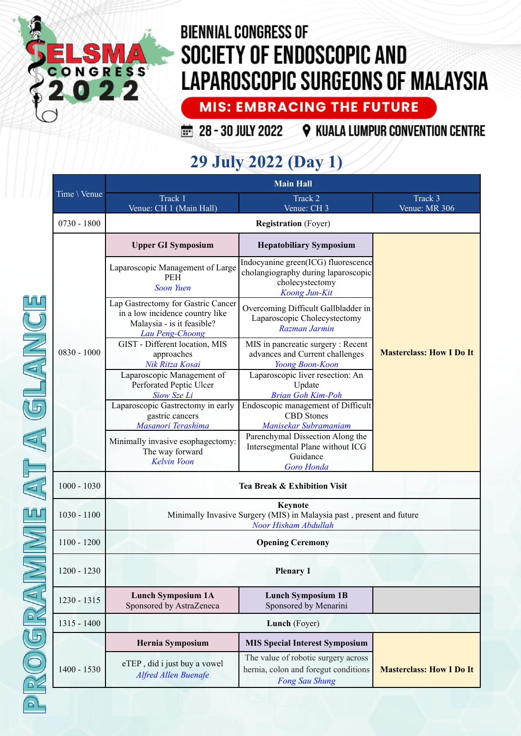

**MIS: EMBRACING THE FUTURE** 

28 - 30 JULY 2022 9 KUALA LUMPUR CONVENTION CENTRE

## **29 July 2022 (Day 1)**

| Time \ Venue  | <b>Main Hall</b>                                                                                                       |                                                                                                                |                                 |
|---------------|------------------------------------------------------------------------------------------------------------------------|----------------------------------------------------------------------------------------------------------------|---------------------------------|
|               | Track 1<br>Venue: CH 1 (Main Hall)                                                                                     | Track 2<br>Venue: CH 3                                                                                         | Track 3<br>Venue: MR 306        |
| $0730 - 1800$ | <b>Registration</b> (Foyer)                                                                                            |                                                                                                                |                                 |
|               | <b>Upper GI Symposium</b>                                                                                              | <b>Hepatobiliary Symposium</b>                                                                                 |                                 |
|               | Laparoscopic Management of Large<br><b>PEH</b><br><b>Soon Yuen</b>                                                     | Indocyanine green(ICG) fluorescence<br>cholangiography during laparoscopic<br>cholecystectomy<br>Koong Jun-Kit |                                 |
|               | Lap Gastrectomy for Gastric Cancer<br>in a low incidence country like<br>Malaysia - is it feasible?<br>Lau Peng-Choong | Overcoming Difficult Gallbladder in<br>Laparoscopic Cholecystectomy<br>Razman Jarmin                           |                                 |
| $0830 - 1000$ | GIST - Different location, MIS<br>approaches<br>Nik Ritza Kosai                                                        | MIS in pancreatic surgery : Recent<br>advances and Current challenges<br>Yoong Boon-Koon                       | <b>Masterclass: How I Do It</b> |
|               | Laparoscopic Management of<br>Perforated Peptic Ulcer<br>Siow Sze Li                                                   | Laparoscopic liver resection: An<br>Update<br><b>Brian Goh Kim-Poh</b>                                         |                                 |
|               | Laparoscopic Gastrectomy in early<br>gastric cancers<br>Masanori Terashima                                             | Endoscopic management of Difficult<br><b>CBD</b> Stones<br>Manisekar Subramaniam                               |                                 |
|               | Minimally invasive esophagectomy:<br>The way forward<br><b>Kelvin Voon</b>                                             | Parenchymal Dissection Along the<br>Intersegmental Plane without ICG<br>Guidance<br>Goro Honda                 |                                 |
| $1000 - 1030$ | Tea Break & Exhibition Visit                                                                                           |                                                                                                                |                                 |
| $1030 - 1100$ | <b>Keynote</b><br>Minimally Invasive Surgery (MIS) in Malaysia past, present and future<br>Noor Hisham Abdullah        |                                                                                                                |                                 |
| $1100 - 1200$ |                                                                                                                        | <b>Opening Ceremony</b>                                                                                        |                                 |
| 1200 - 1230   | <b>Plenary 1</b>                                                                                                       |                                                                                                                |                                 |
| 1230 - 1315   | <b>Lunch Symposium 1A</b><br>Sponsored by AstraZeneca                                                                  | <b>Lunch Symposium 1B</b><br>Sponsored by Menarini                                                             |                                 |
| 1315 - 1400   | Lunch (Foyer)                                                                                                          |                                                                                                                |                                 |
|               | Hernia Symposium                                                                                                       | <b>MIS Special Interest Symposium</b>                                                                          |                                 |
| $1400 - 1530$ | eTEP, did i just buy a vowel<br><b>Alfred Allen Buenafe</b>                                                            | The value of robotic surgery across<br>hernia, colon and foregut conditions<br><b>Fong Sau Shung</b>           | <b>Masterclass: How I Do It</b> |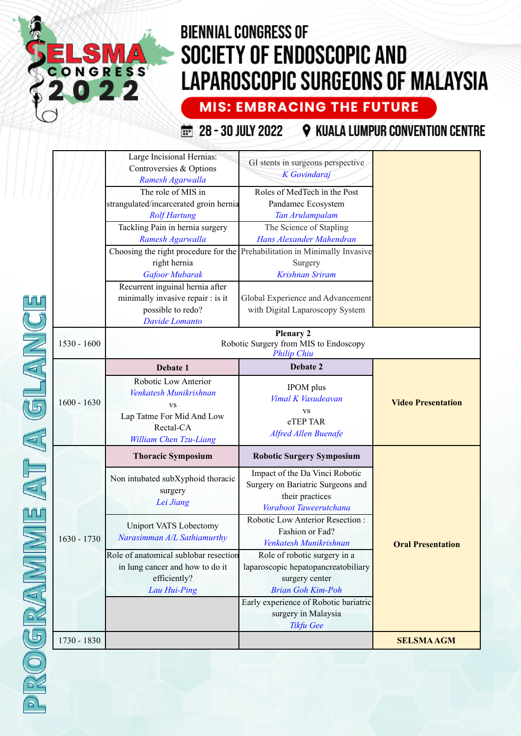# LS CONGRESS

# **BIENNIAL CONGRESS OF** SOCIETY OF ENDOSCOPIC AND **LAPAROSCOPIC SURGEONS OF MALAYSIA**

**MIS: EMBRACING THE FUTURE** 

28 - 30 JULY 2022 Q KUALA LUMPUR CONVENTION CENTRE

|               | Large Incisional Hernias:<br>Controversies & Options<br>Ramesh Agarwalla<br>The role of MIS in<br>strangulated/incarcerated groin hernia<br><b>Rolf Hartung</b><br>Tackling Pain in hernia surgery<br>Ramesh Agarwalla<br>right hernia<br><b>Gafoor Mubarak</b><br>Recurrent inguinal hernia after<br>minimally invasive repair : is it<br>possible to redo?<br>Davide Lomanto | GI stents in surgeons perspective<br><b>K</b> Govindaraj<br>Roles of MedTech in the Post<br>Pandamec Ecosystem<br>Tan Arulampalam<br>The Science of Stapling<br>Hans Alexander Mahendran<br>Choosing the right procedure for the Prehabilitation in Minimally Invasive<br>Surgery<br><b>Krishnan Sriram</b><br>Global Experience and Advancement<br>with Digital Laparoscopy System |                           |
|---------------|--------------------------------------------------------------------------------------------------------------------------------------------------------------------------------------------------------------------------------------------------------------------------------------------------------------------------------------------------------------------------------|-------------------------------------------------------------------------------------------------------------------------------------------------------------------------------------------------------------------------------------------------------------------------------------------------------------------------------------------------------------------------------------|---------------------------|
| $1530 - 1600$ | <b>Plenary 2</b><br>Robotic Surgery from MIS to Endoscopy<br><b>Philip Chiu</b>                                                                                                                                                                                                                                                                                                |                                                                                                                                                                                                                                                                                                                                                                                     |                           |
| $1600 - 1630$ | Debate 1<br>Robotic Low Anterior<br>Venkatesh Munikrishnan<br><b>VS</b><br>Lap Tatme For Mid And Low<br>Rectal-CA<br>William Chen Tzu-Liang                                                                                                                                                                                                                                    | Debate 2<br><b>IPOM</b> plus<br>Vimal K Vasudeavan<br><b>VS</b><br>eTEP TAR<br><b>Alfred Allen Buenafe</b>                                                                                                                                                                                                                                                                          | <b>Video Presentation</b> |
|               | <b>Thoracic Symposium</b>                                                                                                                                                                                                                                                                                                                                                      | <b>Robotic Surgery Symposium</b>                                                                                                                                                                                                                                                                                                                                                    |                           |
|               | Non intubated subXyphoid thoracic<br>surgery<br>Lei Jiang<br><b>Uniport VATS Lobectomy</b>                                                                                                                                                                                                                                                                                     | Impact of the Da Vinci Robotic<br>Surgery on Bariatric Surgeons and<br>their practices<br>Voraboot Taweerutchana<br>Robotic Low Anterior Resection:<br>Fashion or Fad?                                                                                                                                                                                                              |                           |
| $1630 - 1730$ | Narasimman A/L Sathiamurthy<br>Role of anatomical sublobar resection<br>in lung cancer and how to do it<br>efficiently?<br>Lau Hui-Ping                                                                                                                                                                                                                                        | Venkatesh Munikrishnan<br>Role of robotic surgery in a<br>laparoscopic hepatopancreatobiliary<br>surgery center<br><b>Brian Goh Kim-Poh</b><br>Early experience of Robotic bariatric                                                                                                                                                                                                | <b>Oral Presentation</b>  |
|               |                                                                                                                                                                                                                                                                                                                                                                                | surgery in Malaysia<br>Tikfu Gee                                                                                                                                                                                                                                                                                                                                                    |                           |
| 1730 - 1830   |                                                                                                                                                                                                                                                                                                                                                                                |                                                                                                                                                                                                                                                                                                                                                                                     | <b>SELSMAAGM</b>          |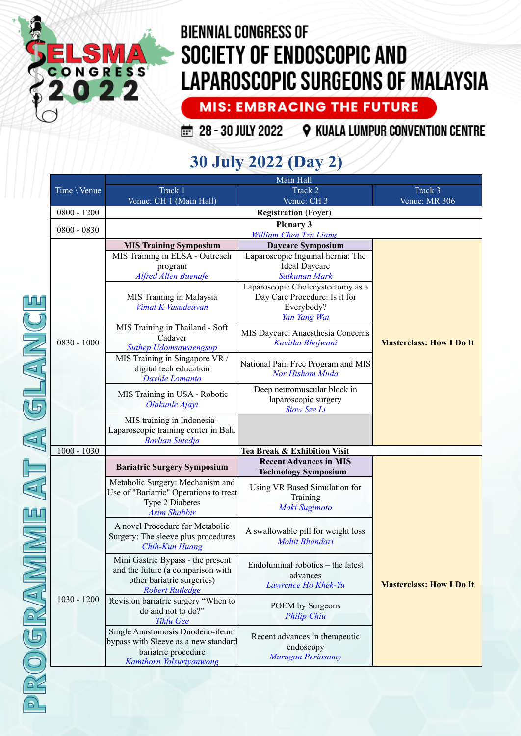

**MIS: EMBRACING THE FUTURE** 

28 - 30 JULY 2022 9 KUALA LUMPUR CONVENTION CENTRE

## 30 July 2022 (Day 2)

|  |               | Main Hall                                                                                                                      |                                                                                                  |                                 |  |
|--|---------------|--------------------------------------------------------------------------------------------------------------------------------|--------------------------------------------------------------------------------------------------|---------------------------------|--|
|  | Time \ Venue  | Track 1                                                                                                                        | Track 2                                                                                          | Track 3                         |  |
|  |               | Venue: CH 1 (Main Hall)                                                                                                        | Venue: CH 3                                                                                      | Venue: MR 306                   |  |
|  | $0800 - 1200$ |                                                                                                                                | <b>Registration</b> (Foyer)<br><b>Plenary 3</b>                                                  |                                 |  |
|  | 0800 - 0830   |                                                                                                                                |                                                                                                  |                                 |  |
|  |               | <b>MIS Training Symposium</b>                                                                                                  | Daycare Symposium                                                                                |                                 |  |
|  |               | MIS Training in ELSA - Outreach<br>program<br><b>Alfred Allen Buenafe</b>                                                      | Laparoscopic Inguinal hernia: The<br><b>Ideal Daycare</b><br>Satkunan Mark                       |                                 |  |
|  |               | MIS Training in Malaysia<br>Vimal K Vasudeavan                                                                                 | Laparoscopic Cholecystectomy as a<br>Day Care Procedure: Is it for<br>Everybody?<br>Yan Yang Wai |                                 |  |
|  | $0830 - 1000$ | MIS Training in Thailand - Soft<br>Cadaver<br><b>Suthep Udomsawaengsup</b>                                                     | MIS Daycare: Anaesthesia Concerns<br>Kavitha Bhojwani                                            | <b>Masterclass: How I Do It</b> |  |
|  |               | MIS Training in Singapore VR /<br>digital tech education<br>Davide Lomanto                                                     | National Pain Free Program and MIS<br>Nor Hisham Muda                                            |                                 |  |
|  |               | MIS Training in USA - Robotic<br>Olakunle Ajayi                                                                                | Deep neuromuscular block in<br>laparoscopic surgery<br>Siow Sze Li                               |                                 |  |
|  |               | MIS training in Indonesia -<br>Laparoscopic training center in Bali.<br><b>Barlian Sutedja</b>                                 |                                                                                                  |                                 |  |
|  | $1000 - 1030$ |                                                                                                                                | Tea Break & Exhibition Visit                                                                     |                                 |  |
|  |               | <b>Bariatric Surgery Symposium</b>                                                                                             | <b>Recent Advances in MIS</b><br><b>Technology Symposium</b>                                     |                                 |  |
|  |               | Metabolic Surgery: Mechanism and<br>Use of "Bariatric" Operations to treat<br>Type 2 Diabetes<br><b>Asim Shabbir</b>           | Using VR Based Simulation for<br>Training<br>Maki Sugimoto                                       |                                 |  |
|  | $1030 - 1200$ | A novel Procedure for Metabolic<br>Surgery: The sleeve plus procedures<br>Chih-Kun Huang                                       | A swallowable pill for weight loss<br>Mohit Bhandari                                             |                                 |  |
|  |               | Mini Gastric Bypass - the present<br>and the future (a comparison with<br>other bariatric surgeries)<br><b>Robert Rutledge</b> | Endoluminal robotics – the latest<br>advances<br>Lawrence Ho Khek-Yu                             | <b>Masterclass: How I Do It</b> |  |
|  |               | Revision bariatric surgery "When to<br>do and not to do?"<br><b>Tikfu Gee</b>                                                  | POEM by Surgeons<br><b>Philip Chiu</b>                                                           |                                 |  |
|  |               | Single Anastomosis Duodeno-ileum<br>bypass with Sleeve as a new standard<br>bariatric procedure<br>Kamthorn Yolsuriyanwong     | Recent advances in the rapeutic<br>endoscopy<br>Murugan Periasamy                                |                                 |  |